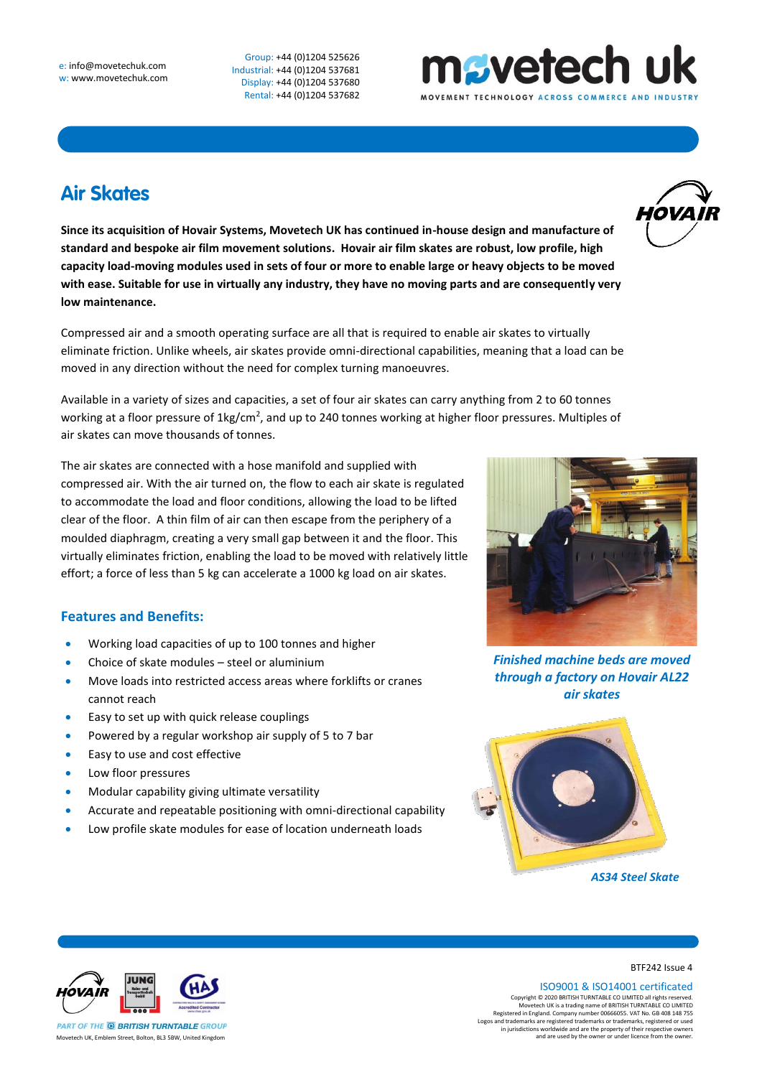Group: +44 (0)1204 525626 Industrial: +44 (0)1204 537681 Display: +44 (0)1204 537680 Rental: +44 (0)1204 537682

## **Air Skates**

**Since its acquisition of Hovair Systems, Movetech UK has continued in-house design and manufacture of standard and bespoke air film movement solutions. Hovair air film skates are robust, low profile, high capacity load-moving modules used in sets of four or more to enable large or heavy objects to be moved with ease. Suitable for use in virtually any industry, they have no moving parts and are consequently very low maintenance.** 

Compressed air and a smooth operating surface are all that is required to enable air skates to virtually eliminate friction. Unlike wheels, air skates provide omni-directional capabilities, meaning that a load can be moved in any direction without the need for complex turning manoeuvres.

Available in a variety of sizes and capacities, a set of four air skates can carry anything from 2 to 60 tonnes working at a floor pressure of 1kg/cm<sup>2</sup>, and up to 240 tonnes working at higher floor pressures. Multiples of air skates can move thousands of tonnes.

The air skates are connected with a hose manifold and supplied with compressed air. With the air turned on, the flow to each air skate is regulated to accommodate the load and floor conditions, allowing the load to be lifted clear of the floor. A thin film of air can then escape from the periphery of a moulded diaphragm, creating a very small gap between it and the floor. This virtually eliminates friction, enabling the load to be moved with relatively little effort; a force of less than 5 kg can accelerate a 1000 kg load on air skates.

## **Features and Benefits:**

- Working load capacities of up to 100 tonnes and higher
- Choice of skate modules steel or aluminium
- Move loads into restricted access areas where forklifts or cranes cannot reach
- Easy to set up with quick release couplings
- Powered by a regular workshop air supply of 5 to 7 bar
- Easy to use and cost effective
- Low floor pressures
- Modular capability giving ultimate versatility
- Accurate and repeatable positioning with omni-directional capability
- Low profile skate modules for ease of location underneath loads



nsvetech uk

*Finished machine beds are moved through a factory on Hovair AL22 air skates*



*AS34 Steel Skate*



Movetech UK, Emblem Street, Bolton, BL3 5BW, United Kingdom

BTF242 Issue 4

ISO9001 & ISO14001 certificated

Copyright © 2020 BRITISH TURNTABLE CO LIMITED all rights reserved.<br>Movetech UK is a trading name of BRITISH TURNTABLE CO LIMITED<br>Registered in England. Company number 00666055. VAT No. GB 408 148 755<br>Logos and trademarks a